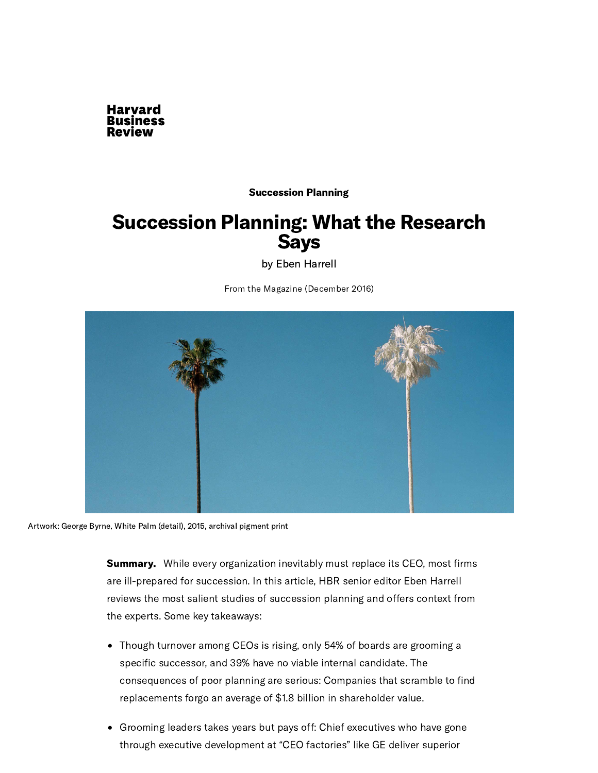

#### [Succession](https://hbr.org/topic/succession-planning) Planning

## Succession Planning: What the Research Says

by Eben [Harrell](https://hbr.org/search?term=eben%20harrell)

From the Magazine (December 2016)



Artwork: George Byrne, White Palm (detail), 2015, archival pigment print

**Summary.** While every organization inevitably must replace its CEO, most firms are ill-prepared for succession. In this article, HBR senior editor Eben Harrell reviews the most salient studies of succession planning and offers context from the experts. Some key takeaways:

- Though turnover among CEOs is rising, only 54% of boards are grooming a specific successor, and 39% have no viable internal candidate. The consequences of poor planning are serious: Companies that scramble to find replacements forgo an average of \$1.8 billion in shareholder value.
- Grooming leaders takes years but pays off: Chief executives who have gone through executive development at "CEO factories" like GE deliver superior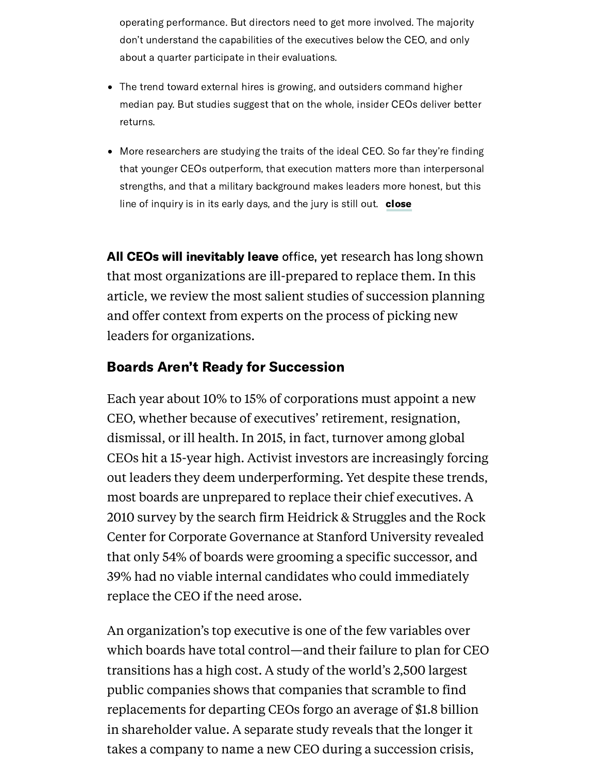operating performance. But directors need to get more involved. The majority don't understand the capabilities of the executives below the CEO, and only about a quarter participate in their evaluations.

- The trend toward external hires is growing, and outsiders command higher median pay. But studies suggest that on the whole, insider CEOs deliver better returns.
- More researchers are studying the traits of the ideal CEO. So far they're finding that younger CEOs outperform, that execution matters more than interpersonal strengths, and that a military background makes leaders more honest, but this line of inquiry is in its early days, and the jury is still out. close

All CEOs will inevitably leave office, yet research has long shown that most organizations are ill-prepared to replace them. In this article, we review the most salient studies of succession planning and offer context from experts on the process of picking new leaders for organizations.

### Boards Aren't Ready for Succession

Each year about 10% to 15% of [corporations](http://www.strategyand.pwc.com/ceosuccess) must appoint a new CEO, whether because of executives' retirement, resignation, dismissal, or ill health. In 2015, in fact, turnover among global CEOs hit a 15-year high. Activist investors are increasingly forcing out leaders they deem underperforming. Yet despite these trends, most boards are unprepared to replace their chief executives. A 2010 [survey](https://www.gsb.stanford.edu/faculty-research/publications/2010-ceo-succession-planning-survey) by the search firm Heidrick & Struggles and the Rock Center for Corporate Governance at Stanford University revealed that only 54% of boards were grooming a specific successor, and 39% had no viable internal candidates who could immediately replace the CEO if the need arose.

An organization's top executive is one of the few variables over which boards have total control—and their failure to plan for CEO transitions has a high cost. A study of the world's 2,500 largest public [companies](http://www.strategy-business.com/article/00327#succession) shows that companies that scramble to find replacements for departing CEOs forgo an average of \$1.8 billion in shareholder value. A [separate](https://www.jstor.org/stable/40604523?seq=1#page_scan_tab_contents) study reveals that the longer it takes a company to name a new CEO during a succession crisis,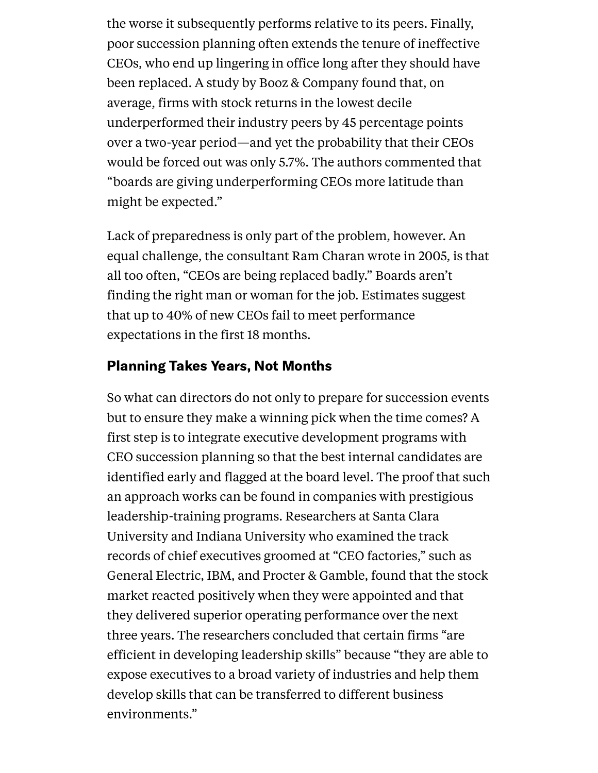the worse it subsequently performs relative to its peers. Finally, poor succession planning often extends the tenure of ineffective CEOs, who end up lingering in office long after they should have been replaced. A study by Booz & [Company](http://www.strategy-business.com/article/08208?gko=9765c) found that, on average, firms with stock returns in the lowest decile underperformed their industry peers by 45 percentage points over a two-year period—and yet the probability that their CEOs would be forced out was only 5.7%. The authors commented that "boards are giving underperforming CEOs more latitude than might be expected. "

Lack of preparedness is only part of the problem, however. An equal challenge, the consultant Ram [Charan](https://hbr.org/2005/02/ending-the-ceo-succession-crisis) wrote in 2005, is that all too often, "CEOs are being replaced badly. " Boards aren't finding the right man or woman for the job. Estimates suggest that up to 40% of new CEOs fail to meet performance expectations in the first 18 months.

#### Planning Takes Years, Not Months

So what can directors do not only to prepare for succession events but to ensure they make a winning pick when the time comes? A first step is to integrate executive development programs with CEO succession planning so that the best internal candidates are identified early and flagged at the board level. The proof that such an approach works can be found in companies with prestigious leadership-training programs. Researchers at Santa Clara University and Indiana [University](http://scholarcommons.scu.edu/cgi/viewcontent.cgi?article=1002&context=finance) who examined the track records of chief executives groomed at "CEO factories, " such as General Electric, IBM, and Procter & Gamble, found that the stock market reacted positively when they were appointed and that they delivered superior operating performance over the next three years. The researchers concluded that certain firms "are efficient in developing leadership skills" because "they are able to expose executives to a broad variety of industries and help them develop skills that can be transferred to different business environments. "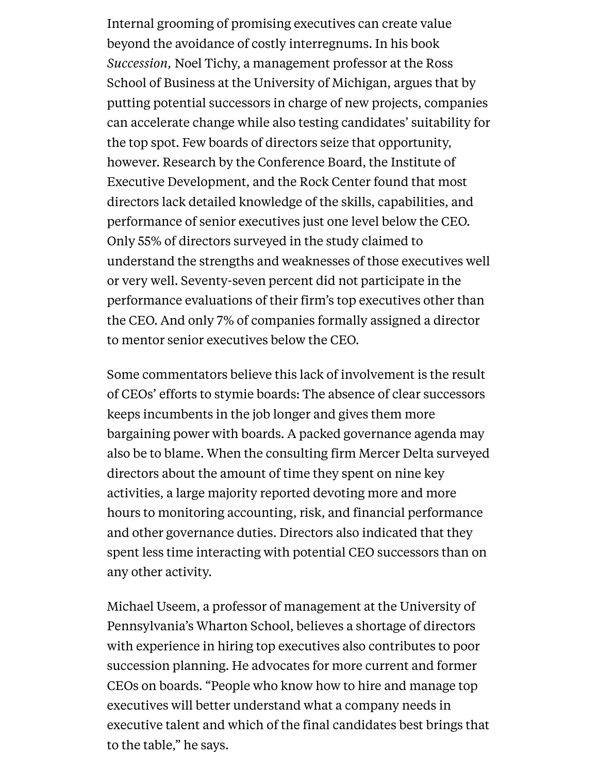Internal grooming of promising executives can create value beyond the avoidance of costly interregnums. In his book *Succession,* Noel Tichy, a management professor at the Ross School of Business at the University of Michigan, argues that by putting potential successors in charge of new projects, companies can accelerate change while also testing candidates' suitability for the top spot. Few boards of directors seize that opportunity, however. Research by the Conference Board, the Institute of Executive Development, and the Rock [Center](https://www.gsb.stanford.edu/faculty-research/publications/2014-how-well-do-corporate-directors-know-senior-management) found that most directors lack detailed knowledge of the skills, capabilities, and performance of senior executives just one level below the CEO. Only 55% of directors surveyed in the study claimed to understand the strengths and weaknesses of those executives well or very well. Seventy-seven percent did not participate in the performance evaluations of their firm's top executives other than the CEO. And only 7% of companies formally assigned a director to mentor senior executives below the CEO.

Some commentators believe this lack of involvement is the result of CEOs' efforts to stymie boards: The absence of clear successors keeps incumbents in the job longer and gives them more bargaining power with boards. A packed governance agenda may also be to blame. When the consulting firm Mercer Delta surveyed directors about the amount of time they spent on nine key activities, a large majority reported devoting more and more hours to monitoring accounting, risk, and financial performance and other governance duties. Directors also indicated that they spent less time interacting with potential CEO successors than on any other activity.

Michael Useem, a professor of management at the University of Pennsylvania's Wharton School, believes a shortage of directors with experience in hiring top executives also contributes to poor succession planning. He advocates for more current and former CEOs on boards. "People who know how to hire and manage top executives will better understand what a company needs in executive talent and which of the final candidates best brings that to the table, " he says.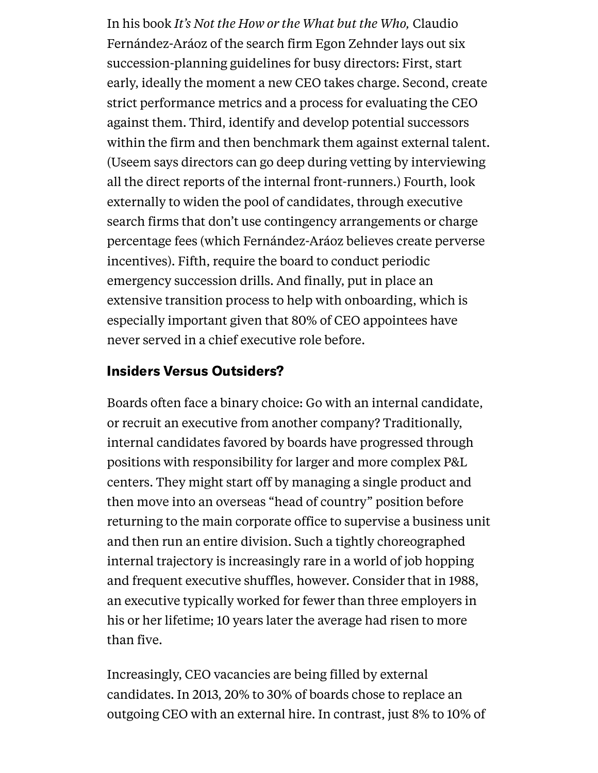In his book *It's Not the How or the [What](https://hbr.org/product/it-s-not-the-how-or-the-what-but-the-who-succeed-by-surrounding-yourself-with-the-best/16921E-KND-ENG) but the Who,* Claudio Fernández-Aráoz of the search firm Egon Zehnder lays out six succession-planning guidelines for busy directors: First, start early, ideally the moment a new CEO takes charge. Second, create strict performance metrics and a process for evaluating the CEO against them. Third, identify and develop potential successors within the firm and then benchmark them against external talent. (Useem says directors can go deep during vetting by interviewing all the direct reports of the internal front-runners.) Fourth, look externally to widen the pool of candidates, through executive search firms that don't use contingency arrangements or charge percentage fees (which Fernández-Aráoz believes create perverse incentives). Fifth, require the board to conduct periodic emergency succession drills. And finally, put in place an extensive transition process to help with onboarding, which is especially important given that 80% of CEO appointees have never served in a chief executive role before.

#### Insiders Versus Outsiders?

Boards often face a binary choice: Go with an internal candidate, or recruit an executive from another company? Traditionally, internal candidates favored by boards have progressed through positions with responsibility for larger and more complex P&L centers. They might start off by managing a single product and then move into an overseas "head of country" position before returning to the main corporate office to supervise a business unit and then run an entire division. Such a tightly choreographed internal trajectory is increasingly rare in a world of job hopping and frequent executive shuffles, however. Consider that in 1988, an executive typically worked for fewer than three employers in his or her lifetime; 10 years later the average had risen to more than five.

Increasingly, CEO vacancies are being filled by external candidates. In 2013, 20% to 30% of boards chose to replace an outgoing CEO with an external hire. In contrast, just 8% to 10% of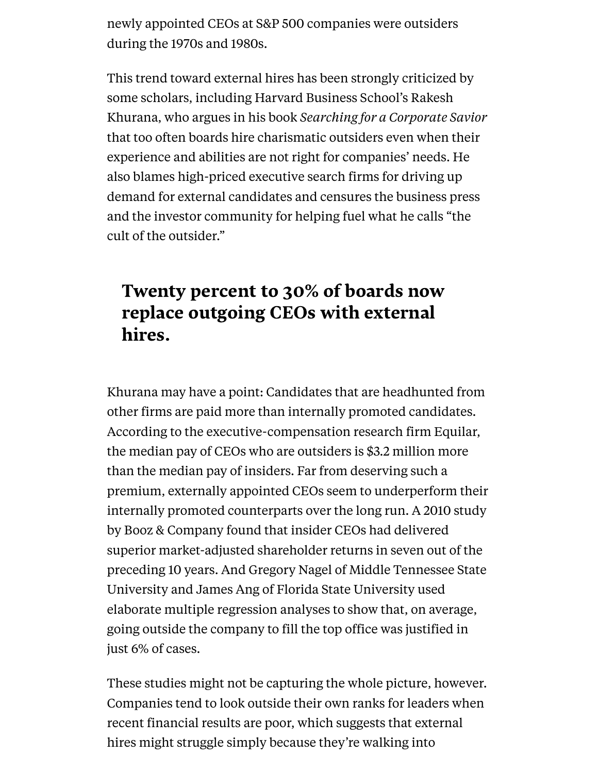newly appointed CEOs at [S&P](http://papers.ssrn.com/sol3/papers.cfm?abstract_id=163914) 500 companies were outsiders during the 1970s and 1980s.

This trend toward external hires has been strongly criticized by some scholars, including Harvard Business School's Rakesh Khurana, who argues in his book *Searching for a Corporate Savior* that too often boards hire charismatic outsiders even when their experience and abilities are not right for companies' needs. He also blames high-priced executive search firms for driving up demand for external candidates and censures the business press and the investor community for helping fuel what he calls "the cult of the outsider. "

# Twenty percent to 30% of boards now replace outgoing CEOs with external hires.

Khurana may have a point: Candidates that are headhunted from other firms are paid more than internally promoted candidates. According to the executive-compensation research firm Equilar, the median pay of CEOs who are outsiders is \$3.2 million more than the median pay of [insiders.](http://www.equilar.com/reports/15-in-with-the-new.html) Far from deserving such a premium, externally appointed CEOs seem to underperform their internally promoted counterparts over the long run. A 2010 study by Booz & [Company](http://www.strategy-business.com/article/10208?gko=9345d) found that insider CEOs had delivered superior market-adjusted shareholder returns in seven out of the preceding 10 years. And Gregory Nagel of Middle Tennessee State University and James Ang of Florida State University used elaborate multiple regression analyses to show that, on average, going outside the company to fill the top office was justified in just 6% of cases.

These studies might not be capturing the whole picture, however. Companies tend to look outside their own ranks for leaders when recent financial results are poor, which suggests that external hires might struggle simply because they're walking into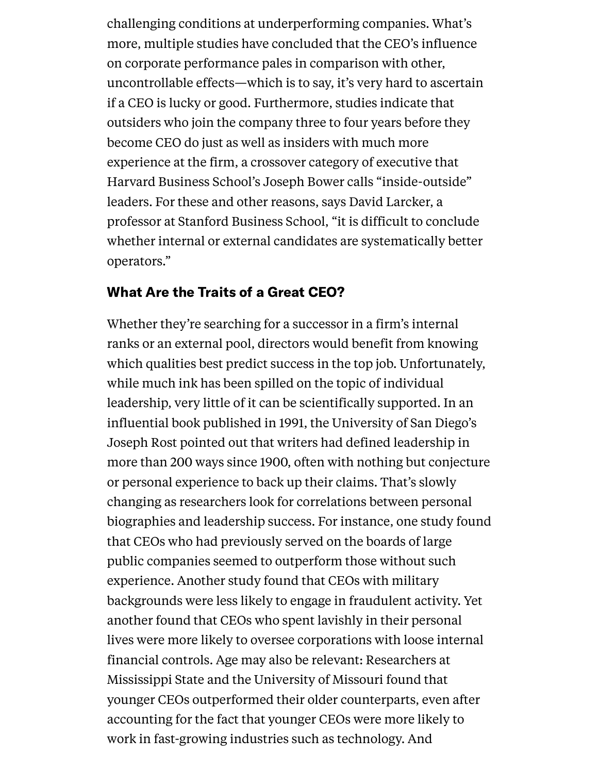challenging conditions at underperforming companies. What's more, [multiple](http://papers.ssrn.com/sol3/papers.cfm?abstract_id=278652) studies have concluded that the CEO's influence on corporate performance pales in comparison with other, uncontrollable effects—which is to say, it's very hard to ascertain if a CEO is lucky or good. Furthermore, studies indicate that outsiders who join the company three to four years before they become CEO do just as well as insiders with much more experience at the firm, a crossover category of executive that Harvard Business School's Joseph Bower calls ["inside-outside"](https://hbr.org/2007/11/solve-the-succession-crisis-by-growing-inside-outside-leaders) leaders. For these and other reasons, says David Larcker, a professor at Stanford Business School, "it is difficult to conclude whether internal or external candidates are systematically better operators. "

#### What Are the Traits of a Great CEO?

Whether they're searching for a successor in a firm's internal ranks or an external pool, directors would benefit from knowing which qualities best predict success in the top job. Unfortunately, while much ink has been spilled on the topic of individual leadership, very little of it can be [scientifically](https://www.amazon.co.uk/Leadership-Twenty-First-Century-Joseph-Rost/dp/027594610X) supported. In an influential book published in 1991, the University of San Diego's Joseph Rost pointed out that writers had defined leadership in more than 200 ways since 1900, often with nothing but conjecture or personal experience to back up their claims. That's slowly changing as researchers look for correlations between personal biographies and leadership success. For instance, one study found that CEOs who had previously served on the boards of large public companies seemed to outperform those without such experience. [Another](http://www.nber.org/papers/w19782) study found that CEOs with military backgrounds were less likely to engage in fraudulent activity. Yet another found that CEOs who spent lavishly in their personal lives were more likely to oversee corporations with loose internal financial controls. Age may also be relevant: Researchers at Mississippi State and the University of Missouri found that younger CEOs outperformed their older counterparts, even after accounting for the fact that younger CEOs were more likely to work in fast-growing industries such as technology. And